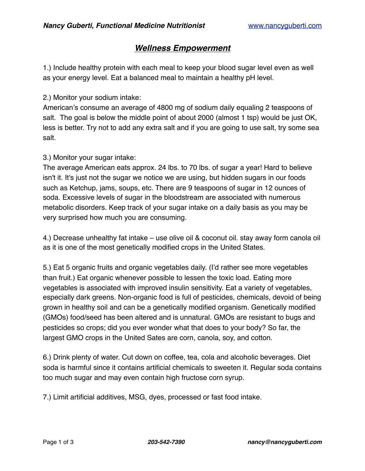# *Wellness Empowerment*

1.) Include healthy protein with each meal to keep your blood sugar level even as well as your energy level. Eat a balanced meal to maintain a healthy pH level.

### 2.) Monitor your sodium intake:

American's consume an average of 4800 mg of sodium daily equaling 2 teaspoons of salt. The goal is below the middle point of about 2000 (almost 1 tsp) would be just OK, less is better. Try not to add any extra salt and if you are going to use salt, try some sea salt.

### 3.) Monitor your sugar intake:

The average American eats approx. 24 lbs. to 70 lbs. of sugar a year! Hard to believe isn't it. It's just not the sugar we notice we are using, but hidden sugars in our foods such as Ketchup, jams, soups, etc. There are 9 teaspoons of sugar in 12 ounces of soda. Excessive levels of sugar in the bloodstream are associated with numerous metabolic disorders. Keep track of your sugar intake on a daily basis as you may be very surprised how much you are consuming.

4.) Decrease unhealthy fat intake – use olive oil & coconut oil. stay away form canola oil as it is one of the most genetically modified crops in the United States.

5.) Eat 5 organic fruits and organic vegetables daily. (I'd rather see more vegetables than fruit.) Eat organic whenever possible to lessen the toxic load. Eating more vegetables is associated with improved insulin sensitivity. Eat a variety of vegetables, especially dark greens. Non-organic food is full of pesticides, chemicals, devoid of being grown in healthy soil and can be a genetically modified organism. Genetically modified (GMOs) food/seed has been altered and is unnatural. GMOs are resistant to bugs and pesticides so crops; did you ever wonder what that does to your body? So far, the largest GMO crops in the United Sates are corn, canola, soy, and cotton.

6.) Drink plenty of water. Cut down on coffee, tea, cola and alcoholic beverages. Diet soda is harmful since it contains artificial chemicals to sweeten it. Regular soda contains too much sugar and may even contain high fructose corn syrup.

7.) Limit artificial additives, MSG, dyes, processed or fast food intake.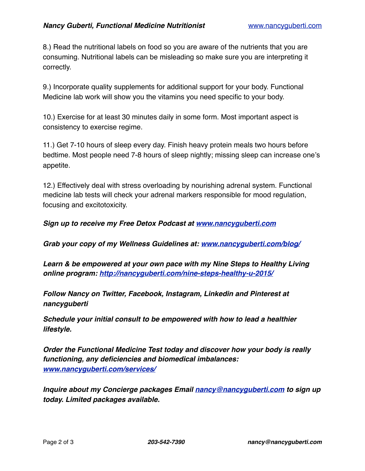8.) Read the nutritional labels on food so you are aware of the nutrients that you are consuming. Nutritional labels can be misleading so make sure you are interpreting it correctly.

9.) Incorporate quality supplements for additional support for your body. Functional Medicine lab work will show you the vitamins you need specific to your body.

10.) Exercise for at least 30 minutes daily in some form. Most important aspect is consistency to exercise regime.

11.) Get 7-10 hours of sleep every day. Finish heavy protein meals two hours before bedtime. Most people need 7-8 hours of sleep nightly; missing sleep can increase one's appetite.

12.) Effectively deal with stress overloading by nourishing adrenal system. Functional medicine lab tests will check your adrenal markers responsible for mood regulation, focusing and excitotoxicity.

*Sign up to receive my Free Detox Podcast at [www.nancyguberti.com](http://www.nancyguberti.com)*

*Grab your copy of my Wellness Guidelines at: [www.nancyguberti.com/blog/](http://nancyguberti.com/blog/)*

*Learn & be empowered at your own pace with my Nine Steps to Healthy Living online program: <http://nancyguberti.com/nine-steps-healthy-u-2015/>*

*Follow Nancy on Twitter, Facebook, Instagram, Linkedin and Pinterest at nancyguberti*

*Schedule your initial consult to be empowered with how to lead a healthier lifestyle.*

*Order the Functional Medicine Test today and discover how your body is really functioning, any deficiencies and biomedical imbalances: [www.nancyguberti.com/services/](http://nancyguberti.com/services/)*

*Inquire about my Concierge packages Email [nancy@nancyguberti.com](mailto:nancy@nancyguberti.com) to sign up today. Limited packages available.*